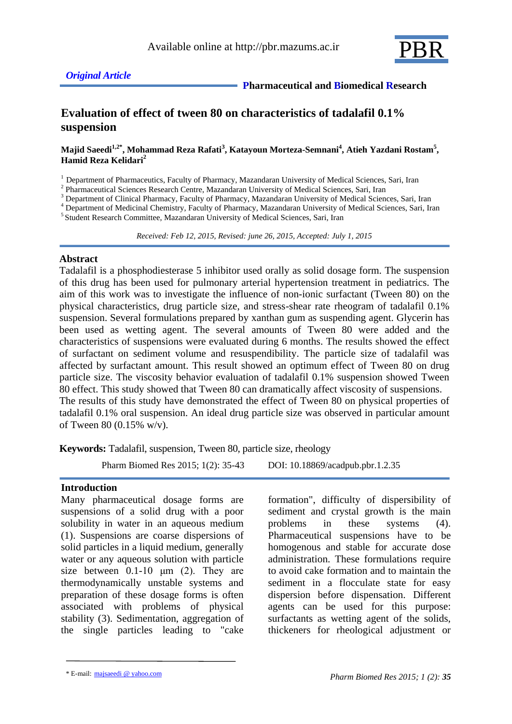

## *Original Article*

 **Pharmaceutical and Biomedical Research**

# **Evaluation of effect of tween 80 on characteristics of tadalafil 0.1% suspension**

#### **Majid Saeedi1,2\*, Mohammad Reza Rafati<sup>3</sup> , Katayoun Morteza-Semnani<sup>4</sup> , Atieh Yazdani Rostam<sup>5</sup> , Hamid Reza Kelidari<sup>2</sup>**

<sup>1</sup> Department of Pharmaceutics, Faculty of Pharmacy, Mazandaran University of Medical Sciences, Sari, Iran

<sup>2</sup> Pharmaceutical Sciences Research Centre, Mazandaran University of Medical Sciences, Sari, Iran

<sup>3</sup> Department of Clinical Pharmacy, Faculty of Pharmacy, Mazandaran University of Medical Sciences, Sari, Iran

<sup>4</sup> Department of Medicinal Chemistry, Faculty of Pharmacy, Mazandaran University of Medical Sciences, Sari, Iran

5 Student Research Committee, Mazandaran University of Medical Sciences, Sari, Iran

 *Received: Feb 12, 2015, Revised: june 26, 2015, Accepted: July 1, 2015*

## **Abstract**

Tadalafil is a phosphodiesterase 5 inhibitor used orally as solid dosage form. The suspension of this drug has been used for pulmonary arterial hypertension treatment in pediatrics. The aim of this work was to investigate the influence of non-ionic surfactant (Tween 80) on the physical characteristics, drug particle size, and stress-shear rate rheogram of tadalafil 0.1% suspension. Several formulations prepared by xanthan gum as suspending agent. Glycerin has been used as wetting agent. The several amounts of Tween 80 were added and the characteristics of suspensions were evaluated during 6 months. The results showed the effect of surfactant on sediment volume and resuspendibility. The particle size of tadalafil was affected by surfactant amount. This result showed an optimum effect of Tween 80 on drug particle size. The viscosity behavior evaluation of tadalafil 0.1% suspension showed Tween 80 effect. This study showed that Tween 80 can dramatically affect viscosity of suspensions. The results of this study have demonstrated the effect of Tween 80 on physical properties of tadalafil 0.1% oral suspension. An ideal drug particle size was observed in particular amount of Tween 80 (0.15% w/v).

**Keywords:** Tadalafil, suspension, Tween 80, particle size, rheology

Pharm Biomed Res 2015; 1(2): 35-43 DOI: 10.18869/acadpub.pbr.1.2.35

#### **Introduction**

Many pharmaceutical dosage forms are suspensions of a solid drug with a poor solubility in water in an aqueous medium (1). Suspensions are coarse dispersions of solid particles in a liquid medium, generally water or any aqueous solution with particle size between  $0.1-10 \mu m$  (2). They are thermodynamically unstable systems and preparation of these dosage forms is often associated with problems of physical stability (3). Sedimentation, aggregation of the single particles leading to "cake formation", difficulty of dispersibility of sediment and crystal growth is the main problems in these systems (4). Pharmaceutical suspensions have to be homogenous and stable for accurate dose administration. These formulations require to avoid cake formation and to maintain the sediment in a flocculate state for easy dispersion before dispensation. Different agents can be used for this purpose: surfactants as wetting agent of the solids, thickeners for rheological adjustment or

<sup>\*</sup> E-mail: majsaeedi @ yahoo.com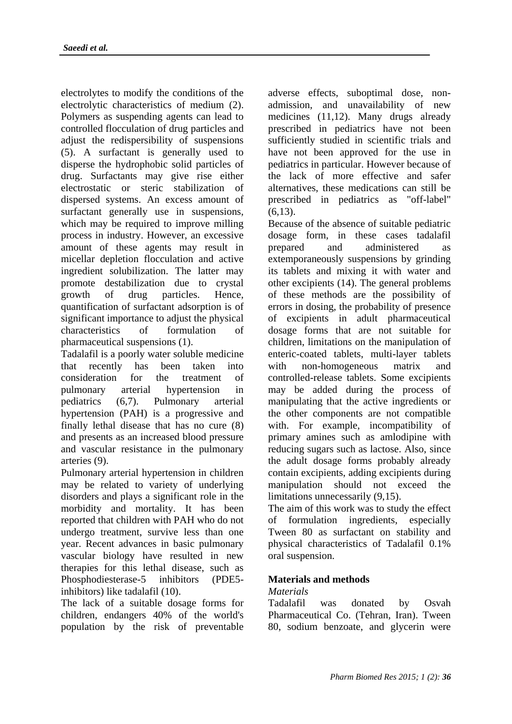electrolytes to modify the conditions of the electrolytic characteristics of medium (2). Polymers as suspending agents can lead to controlled flocculation of drug particles and adjust the redispersibility of suspensions (5). A surfactant is generally used to disperse the hydrophobic solid particles of drug. Surfactants may give rise either electrostatic or steric stabilization of dispersed systems. An excess amount of surfactant generally use in suspensions, which may be required to improve milling process in industry. However, an excessive amount of these agents may result in micellar depletion flocculation and active ingredient solubilization. The latter may promote destabilization due to crystal growth of drug particles. Hence, quantification of surfactant adsorption is of significant importance to adjust the physical characteristics of formulation of pharmaceutical suspensions (1).

Tadalafil is a poorly water soluble medicine that recently has been taken into consideration for the treatment of pulmonary arterial hypertension in pediatrics (6,7). Pulmonary arterial hypertension (PAH) is a progressive and finally lethal disease that has no cure (8) and presents as an increased blood pressure and vascular resistance in the pulmonary arteries (9).

Pulmonary arterial hypertension in children may be related to variety of underlying disorders and plays a significant role in the morbidity and mortality. It has been reported that children with PAH who do not undergo treatment, survive less than one year. Recent advances in basic pulmonary vascular biology have resulted in new therapies for this lethal disease, such as Phosphodiesterase-5 inhibitors (PDE5 inhibitors) like tadalafil (10).

The lack of a suitable dosage forms for children, endangers 40% of the world's population by the risk of preventable adverse effects, suboptimal dose, nonadmission, and unavailability of new medicines (11,12). Many drugs already prescribed in pediatrics have not been sufficiently studied in scientific trials and have not been approved for the use in pediatrics in particular. However because of the lack of more effective and safer alternatives, these medications can still be prescribed in pediatrics as "off-label"  $(6,13)$ .

Because of the absence of suitable pediatric dosage form, in these cases tadalafil prepared and administered as extemporaneously suspensions by grinding its tablets and mixing it with water and other excipients (14). The general problems of these methods are the possibility of errors in dosing, the probability of presence of excipients in adult pharmaceutical dosage forms that are not suitable for children, limitations on the manipulation of enteric-coated tablets, multi-layer tablets with non-homogeneous matrix and controlled-release tablets. Some excipients may be added during the process of manipulating that the active ingredients or the other components are not compatible with. For example, incompatibility of primary amines such as amlodipine with reducing sugars such as lactose. Also, since the adult dosage forms probably already contain excipients, adding excipients during manipulation should not exceed the limitations unnecessarily (9,15).

The aim of this work was to study the effect of formulation ingredients, especially Tween 80 as surfactant on stability and physical characteristics of Tadalafil 0.1% oral suspension.

## **Materials and methods**

## *Materials*

Tadalafil was donated by Osvah Pharmaceutical Co. (Tehran, Iran). Tween 80, sodium benzoate, and glycerin were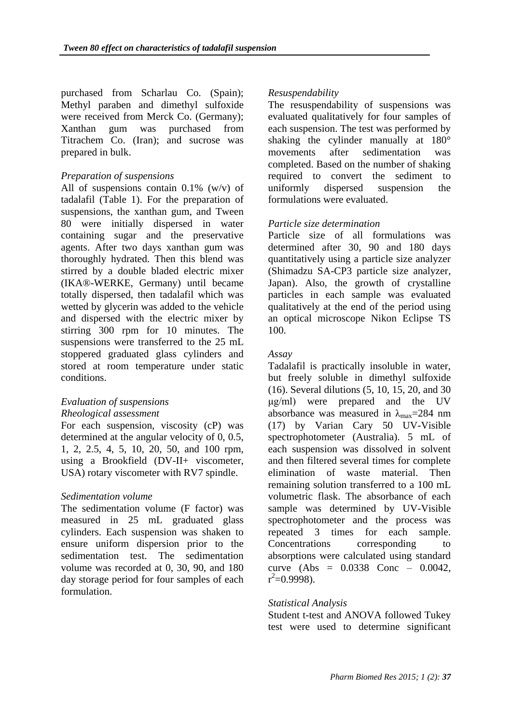purchased from Scharlau Co. (Spain); Methyl paraben and dimethyl sulfoxide were received from Merck Co. (Germany); Xanthan gum was purchased from Titrachem Co. (Iran); and sucrose was prepared in bulk.

## *Preparation of suspensions*

All of suspensions contain  $0.1\%$  (w/v) of tadalafil (Table 1). For the preparation of suspensions, the xanthan gum, and Tween 80 were initially dispersed in water containing sugar and the preservative agents. After two days xanthan gum was thoroughly hydrated. Then this blend was stirred by a double bladed electric mixer (IKA®-WERKE, Germany) until became totally dispersed, then tadalafil which was wetted by glycerin was added to the vehicle and dispersed with the electric mixer by stirring 300 rpm for 10 minutes. The suspensions were transferred to the 25 mL stoppered graduated glass cylinders and stored at room temperature under static conditions.

## *Evaluation of suspensions*

#### *Rheological assessment*

For each suspension, viscosity (cP) was determined at the angular velocity of 0, 0.5, 1, 2, 2.5, 4, 5, 10, 20, 50, and 100 rpm, using a Brookfield (DV-II+ viscometer, USA) rotary viscometer with RV7 spindle.

## *Sedimentation volume*

The sedimentation volume (F factor) was measured in 25 mL graduated glass cylinders. Each suspension was shaken to ensure uniform dispersion prior to the sedimentation test. The sedimentation volume was recorded at 0, 30, 90, and 180 day storage period for four samples of each formulation.

### *Resuspendability*

The resuspendability of suspensions was evaluated qualitatively for four samples of each suspension. The test was performed by shaking the cylinder manually at 180° movements after sedimentation was completed. Based on the number of shaking required to convert the sediment to uniformly dispersed suspension the formulations were evaluated.

### *Particle size determination*

Particle size of all formulations was determined after 30, 90 and 180 days quantitatively using a particle size analyzer (Shimadzu SA-CP3 particle size analyzer, Japan). Also, the growth of crystalline particles in each sample was evaluated qualitatively at the end of the period using an optical microscope Nikon Eclipse TS 100.

#### *Assay*

Tadalafil is practically insoluble in water, but freely soluble in dimethyl sulfoxide (16). Several dilutions (5, 10, 15, 20, and 30 μg/ml) were prepared and the UV absorbance was measured in  $\lambda_{\text{max}}$ =284 nm (17) by Varian Cary 50 UV-Visible spectrophotometer (Australia). 5 mL of each suspension was dissolved in solvent and then filtered several times for complete elimination of waste material. Then remaining solution transferred to a 100 mL volumetric flask. The absorbance of each sample was determined by UV-Visible spectrophotometer and the process was repeated 3 times for each sample. Concentrations corresponding to absorptions were calculated using standard curve (Abs = 0.0338 Conc – 0.0042,  $r^2$ =0.9998).

#### *Statistical Analysis*

Student t-test and ANOVA followed Tukey test were used to determine significant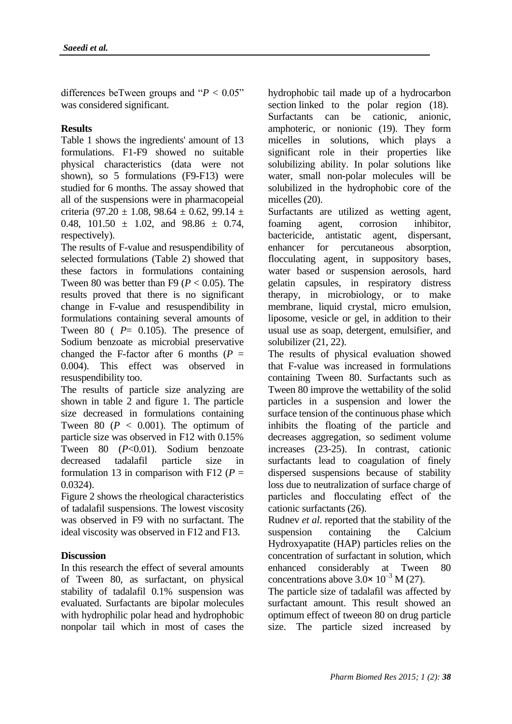differences beTween groups and  $P < 0.05$ " was considered significant.

## **Results**

Table 1 shows the ingredients' amount of 13 formulations. F1-F9 showed no suitable physical characteristics (data were not shown), so 5 formulations (F9-F13) were studied for 6 months. The assay showed that all of the suspensions were in pharmacopeial criteria (97.20  $\pm$  1.08, 98.64  $\pm$  0.62, 99.14  $\pm$ 0.48, 101.50  $\pm$  1.02, and 98.86  $\pm$  0.74, respectively).

The results of F-value and resuspendibility of selected formulations (Table 2) showed that these factors in formulations containing Tween 80 was better than F9 ( $P < 0.05$ ). The results proved that there is no significant change in F-value and resuspendibility in formulations containing several amounts of Tween 80 ( *P*= 0.105). The presence of Sodium benzoate as microbial preservative changed the F-factor after 6 months  $(P =$ 0.004). This effect was observed in resuspendibility too.

The results of particle size analyzing are shown in table 2 and figure 1. The particle size decreased in formulations containing Tween 80 ( $P < 0.001$ ). The optimum of particle size was observed in F12 with 0.15% Tween 80 (*P*<0.01). Sodium benzoate decreased tadalafil particle size in formulation 13 in comparison with F12 ( $P =$ 0.0324).

Figure 2 shows the rheological characteristics of tadalafil suspensions. The lowest viscosity was observed in F9 with no surfactant. The ideal viscosity was observed in F12 and F13.

## **Discussion**

In this research the effect of several amounts of Tween 80, as surfactant, on physical stability of tadalafil 0.1% suspension was evaluated. Surfactants are bipolar molecules with hydrophilic polar head and hydrophobic nonpolar tail which in most of cases the hydrophobic tail made up of a hydrocarbon section linked to the polar region (18). Surfactants can be cationic, anionic, amphoteric, or nonionic (19). They form micelles in solutions, which plays a significant role in their properties like solubilizing ability. In polar solutions like water, small non-polar molecules will be solubilized in the hydrophobic core of the micelles (20).

Surfactants are utilized as wetting agent, foaming agent, corrosion inhibitor, bactericide, antistatic agent, dispersant, enhancer for percutaneous absorption, flocculating agent, in suppository bases, water based or suspension aerosols, hard gelatin capsules, in respiratory distress therapy, in microbiology, or to make membrane, liquid crystal, micro emulsion, liposome, vesicle or gel, in addition to their usual use as soap, detergent, emulsifier, and solubilizer (21, 22).

The results of physical evaluation showed that F-value was increased in formulations containing Tween 80. Surfactants such as Tween 80 improve the wettability of the solid particles in a suspension and lower the surface tension of the continuous phase which inhibits the floating of the particle and decreases aggregation, so sediment volume increases (23-25). In contrast, cationic surfactants lead to coagulation of finely dispersed suspensions because of stability loss due to neutralization of surface charge of particles and flocculating effect of the cationic surfactants (26).

Rudnev *et al*. reported that the stability of the suspension containing the Calcium Hydroxyapatite (HAP) particles relies on the concentration of surfactant in solution, which enhanced considerably at Tween 80 concentrations above  $3.0 \times 10^{-3}$  M (27).

The particle size of tadalafil was affected by surfactant amount. This result showed an optimum effect of tweeon 80 on drug particle size. The particle sized increased by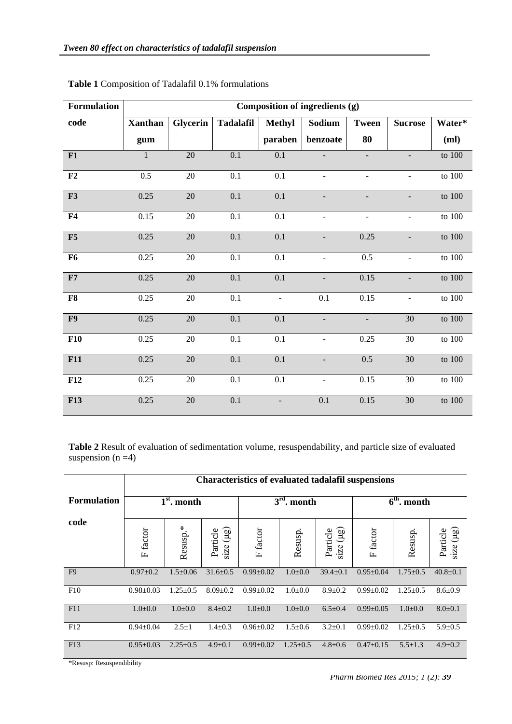| Formulation | Composition of ingredients (g) |          |                  |                          |                          |                              |                          |            |  |  |  |
|-------------|--------------------------------|----------|------------------|--------------------------|--------------------------|------------------------------|--------------------------|------------|--|--|--|
| code        | <b>Xanthan</b>                 | Glycerin | <b>Tadalafil</b> | <b>Methyl</b>            | Sodium                   | <b>Tween</b>                 | <b>Sucrose</b>           | Water*     |  |  |  |
|             | gum                            |          |                  | paraben                  | benzoate                 | 80                           |                          | (ml)       |  |  |  |
| F1          | $\mathbf{1}$                   | 20       | 0.1              | $0.1\,$                  |                          |                              | $\overline{\phantom{0}}$ | to $100$   |  |  |  |
| F2          | 0.5                            | 20       | 0.1              | 0.1                      | $\overline{\phantom{a}}$ | $\qquad \qquad \blacksquare$ | $\overline{\phantom{a}}$ | to 100     |  |  |  |
| F3          | 0.25                           | $20\,$   | 0.1              | $0.1\,$                  |                          |                              | $\overline{\phantom{0}}$ | to 100     |  |  |  |
| F4          | 0.15                           | 20       | $0.1\,$          | 0.1                      | $\blacksquare$           | $\blacksquare$               | $\blacksquare$           | to $100\,$ |  |  |  |
| F5          | 0.25                           | $20\,$   | $\overline{0.1}$ | $\overline{0.1}$         |                          | 0.25                         | $\overline{\phantom{0}}$ | to 100     |  |  |  |
| <b>F6</b>   | 0.25                           | $20\,$   | $0.1\,$          | 0.1                      | $\blacksquare$           | 0.5                          | $\blacksquare$           | to $100\,$ |  |  |  |
| F7          | 0.25                           | 20       | $\overline{0.1}$ | 0.1                      | $\blacksquare$           | 0.15                         | $\blacksquare$           | to $100\,$ |  |  |  |
| F8          | 0.25                           | 20       | 0.1              | $\overline{\phantom{a}}$ | 0.1                      | 0.15                         | $\overline{\phantom{a}}$ | to 100     |  |  |  |
| F9          | 0.25                           | $20\,$   | 0.1              | 0.1                      | $\overline{\phantom{a}}$ | $\equiv$                     | 30                       | to 100     |  |  |  |
| F10         | 0.25                           | 20       | 0.1              | 0.1                      |                          | 0.25                         | 30                       | to $100\,$ |  |  |  |
| F11         | 0.25                           | 20       | 0.1              | 0.1                      |                          | 0.5                          | 30                       | to 100     |  |  |  |
| F12         | 0.25                           | $20\,$   | 0.1              | 0.1                      |                          | 0.15                         | 30                       | to $100\,$ |  |  |  |
| <b>F13</b>  | 0.25                           | 20       | 0.1              | $\overline{\phantom{a}}$ | 0.1                      | 0.15                         | 30                       | to $100\,$ |  |  |  |

**Table 1** Composition of Tadalafil 0.1% formulations

**Table 2** Result of evaluation of sedimentation volume, resuspendability, and particle size of evaluated suspension  $(n = 4)$ 

|                    | <b>Characteristics of evaluated tadalafil suspensions</b> |                |                               |                 |                |                               |                             |                |                            |  |
|--------------------|-----------------------------------------------------------|----------------|-------------------------------|-----------------|----------------|-------------------------------|-----------------------------|----------------|----------------------------|--|
| <b>Formulation</b> | $1st$ . month                                             |                |                               | $3rd$ . month   |                |                               | $\overline{6^{th}}$ . month |                |                            |  |
| code               | F factor                                                  | Resusp.*       | $size$ ( $\mu$ g)<br>Particle | F factor        | Resusp.        | $size$ ( $\mu$ g)<br>Particle | F factor                    | Resusp.        | size $(\mu g)$<br>Particle |  |
| F <sub>9</sub>     | $0.97 \pm 0.2$                                            | $1.5 \pm 0.06$ | $31.6 \pm 0.5$                | $0.99 \pm 0.02$ | $1.0 \pm 0.0$  | $39.4 \pm 0.1$                | $0.95 \pm 0.04$             | $1.75 \pm 0.5$ | $40.8 \pm 0.1$             |  |
| F10                | $0.98 \pm 0.03$                                           | $1.25 \pm 0.5$ | $8.09 \pm 0.2$                | $0.99 \pm 0.02$ | $1.0 \pm 0.0$  | $8.9 \pm 0.2$                 | $0.99 \pm 0.02$             | $1.25 \pm 0.5$ | $8.6 \pm 0.9$              |  |
| F11                | $1.0 \pm 0.0$                                             | $1.0 \pm 0.0$  | $8.4 \pm 0.2$                 | $1.0 \pm 0.0$   | $1.0 \pm 0.0$  | $6.5 \pm 0.4$                 | $0.99 \pm 0.05$             | $1.0 \pm 0.0$  | $8.0 \pm 0.1$              |  |
| F12                | $0.94 \pm 0.04$                                           | $2.5 \pm 1$    | $1.4 \pm 0.3$                 | $0.96 \pm 0.02$ | $1.5 \pm 0.6$  | $3.2 \pm 0.1$                 | $0.99 \pm 0.02$             | $1.25 \pm 0.5$ | $5.9 \pm 0.5$              |  |
| F13                | $0.95 \pm 0.03$                                           | $2.25 \pm 0.5$ | $4.9 \pm 0.1$                 | $0.99 \pm 0.02$ | $1.25 \pm 0.5$ | $4.8 \pm 0.6$                 | $0.47 \pm 0.15$             | $5.5 \pm 1.3$  | $4.9 \pm 0.2$              |  |

\*Resusp: Resuspendibility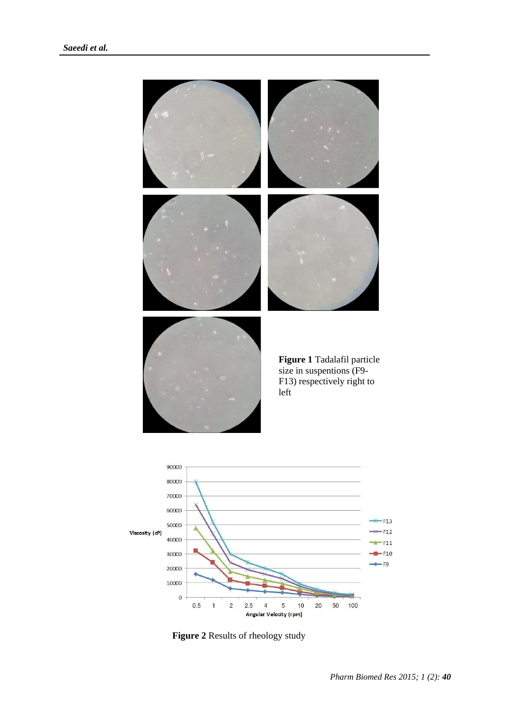



**Figure 2** Results of rheology study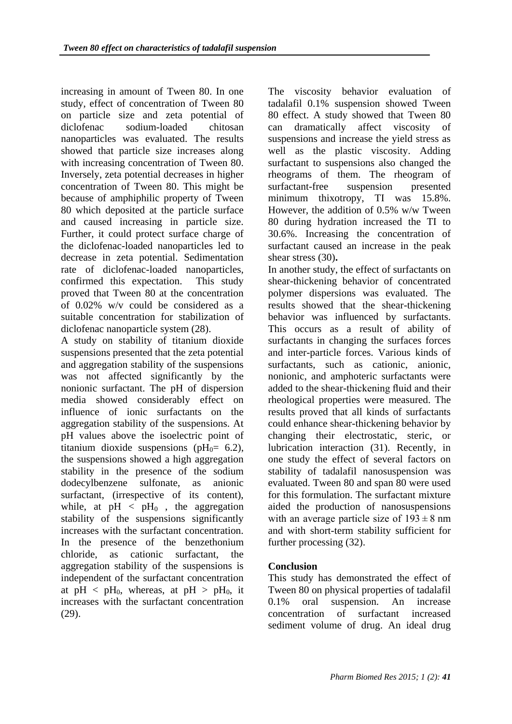increasing in amount of Tween 80. In one study, effect of concentration of Tween 80 on particle size and zeta potential of diclofenac sodium-loaded chitosan nanoparticles was evaluated. The results showed that particle size increases along with increasing concentration of Tween 80. Inversely, zeta potential decreases in higher concentration of Tween 80. This might be because of amphiphilic property of Tween 80 which deposited at the particle surface and caused increasing in particle size. Further, it could protect surface charge of the diclofenac-loaded nanoparticles led to decrease in zeta potential. Sedimentation rate of diclofenac-loaded nanoparticles, confirmed this expectation. This study proved that Tween 80 at the concentration of 0.02% w/v could be considered as a suitable concentration for stabilization of diclofenac nanoparticle system (28).

A study on stability of titanium dioxide suspensions presented that the zeta potential and aggregation stability of the suspensions was not affected significantly by the nonionic surfactant. The pH of dispersion media showed considerably effect on influence of ionic surfactants on the aggregation stability of the suspensions. At pH values above the isoelectric point of titanium dioxide suspensions (pH $_0$ = 6.2), the suspensions showed a high aggregation stability in the presence of the sodium dodecylbenzene sulfonate, as anionic surfactant, (irrespective of its content), while, at  $pH \leq pH_0$ , the aggregation stability of the suspensions significantly increases with the surfactant concentration. In the presence of the benzethonium chloride, as cationic surfactant, the aggregation stability of the suspensions is independent of the surfactant concentration at  $pH \leq pH_0$ , whereas, at  $pH > pH_0$ , it increases with the surfactant concentration (29).

The viscosity behavior evaluation of tadalafil 0.1% suspension showed Tween 80 effect. A study showed that Tween 80 can dramatically affect viscosity of suspensions and increase the yield stress as well as the plastic viscosity. Adding surfactant to suspensions also changed the rheograms of them. The rheogram of surfactant-free suspension presented minimum thixotropy, TI was 15.8%. However, the addition of 0.5% w/w Tween 80 during hydration increased the TI to 30.6%. Increasing the concentration of surfactant caused an increase in the peak shear stress (30)**.**

In another study, the effect of surfactants on shear-thickening behavior of concentrated polymer dispersions was evaluated. The results showed that the shear-thickening behavior was influenced by surfactants. This occurs as a result of ability of surfactants in changing the surfaces forces and inter-particle forces. Various kinds of surfactants, such as cationic, anionic, nonionic, and amphoteric surfactants were added to the shear-thickening fluid and their rheological properties were measured. The results proved that all kinds of surfactants could enhance shear-thickening behavior by changing their electrostatic, steric, or lubrication interaction (31). Recently, in one study the effect of several factors on stability of tadalafil nanosuspension was evaluated. Tween 80 and span 80 were used for this formulation. The surfactant mixture aided the production of nanosuspensions with an average particle size of  $193 \pm 8$  nm and with short-term stability sufficient for further processing (32).

## **Conclusion**

This study has demonstrated the effect of Tween 80 on physical properties of tadalafil 0.1% oral suspension. An increase concentration of surfactant increased sediment volume of drug. An ideal drug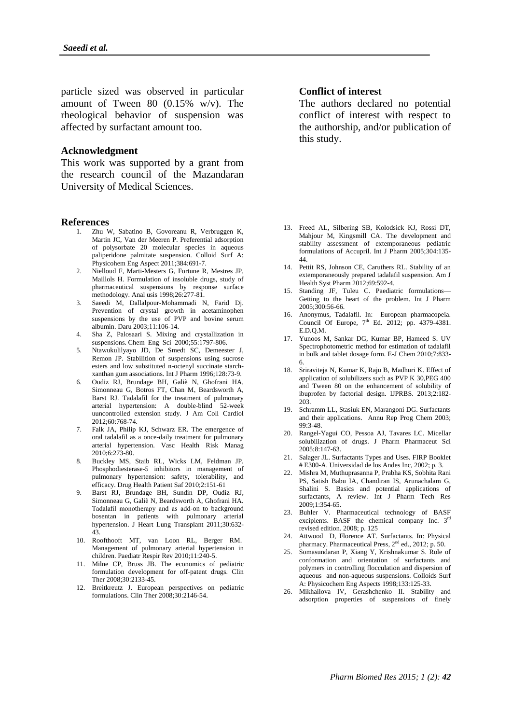particle sized was observed in particular amount of Tween 80 (0.15% w/v). The rheological behavior of suspension was affected by surfactant amount too.

#### **Acknowledgment**

This work was supported by a grant from the research council of the Mazandaran University of Medical Sciences.

#### **References**

- 1. Zhu W, Sabatino B, Govoreanu R, Verbruggen K, Martin JC, Van der Meeren P. Preferential adsorption of polysorbate 20 molecular species in aqueous paliperidone palmitate suspension. Colloid Surf A: Physicohem Eng Aspect 2011;384:691-7.
- 2. Nielloud F, Marti-Mesters G, Fortune R, Mestres JP, Maillols H. Formulation of insoluble drugs, study of pharmaceutical suspensions by response surface methodology. Anal usis 1998;26:277-81.
- 3. Saeedi M, Dallalpour-Mohammadi N, Farid Dj. Prevention of crystal growth in acetaminophen suspensions by the use of PVP and bovine serum albumin. Daru 2003;11:106-14.
- 4. Sha Z, Palosaari S. Mixing and crystallization in suspensions. Chem Eng Sci 2000;55:1797-806.
- 5. Ntawukulilyayo JD, De Smedt SC, Demeester J, Remon JP. Stabilition of suspensions using sucrose esters and low substituted n-octenyl succinate starchxanthan gum associations. Int J Pharm 1996;128:73-9.
- 6. Oudiz RJ, Brundage BH, Galiè N, Ghofrani HA, Simonneau G, Botros FT, Chan M, Beardsworth A, Barst RJ. Tadalafil for the treatment of pulmonary arterial hypertension: A double-blind 52-week uuncontrolled extension study. J Am Coll Cardiol 2012;60:768-74.
- Falk JA, Philip KJ, Schwarz ER. The emergence of oral tadalafil as a once-daily treatment for pulmonary arterial hypertension. Vasc Health Risk Manag 2010;6:273-80.
- 8. Buckley MS, Staib RL, Wicks LM, Feldman JP. Phosphodiesterase-5 inhibitors in management of pulmonary hypertension: safety, tolerability, and efficacy. Drug Health Patient Saf 2010;2:151-61
- 9. Barst RJ, Brundage BH, Sundin DP, Oudiz RJ, Simonneau G, Galiè N, Beardsworth A, Ghofrani HA. Tadalafil monotherapy and as add-on to background bosentan in patients with pulmonary arterial hypertension. J Heart Lung Transplant 2011;30:632- 43.
- 10. Roofthooft MT, van Loon RL, Berger RM. Management of pulmonary arterial hypertension in children. Paediatr Respir Rev 2010;11:240-5.
- 11. Milne CP, Bruss JB. The economics of pediatric formulation development for off-patent drugs. Clin Ther 2008;30:2133-45.
- 12. Breitkreutz J. European perspectives on pediatric formulations. Clin Ther 2008;30:2146-54.

#### **Conflict of interest**

The authors declared no potential conflict of interest with respect to the authorship, and/or publication of this study.

- 13. Freed AL, Silbering SB, Kolodsick KJ, Rossi DT, Mahjour M, Kingsmill CA. The development and stability assessment of extemporaneous pediatric formulations of Accupril. Int J Pharm 2005;304:135- 44.
- 14. Pettit RS, Johnson CE, Caruthers RL. Stability of an extemporaneously prepared tadalafil suspension. Am J Health Syst Pharm 2012;69:592-4.
- 15. Standing JF, Tuleu C. Paediatric formulations— Getting to the heart of the problem. Int J Pharm 2005;300:56-66.
- 16. Anonymus, Tadalafil. In: European pharmacopeia. Council Of Europe,  $7^{\text{th}}$  Ed. 2012; pp. 4379-4381. E.D.Q.M.
- 17. Yunoos M, Sankar DG, Kumar BP, Hameed S. UV Spectrophotometric method for estimation of tadalafil in bulk and tablet dosage form. E-J Chem 2010;7:833- 6.
- 18. Sriraviteja N, Kumar K, Raju B, Madhuri K. Effect of application of solubilizers such as PVP K 30,PEG 400 and Tween 80 on the enhancement of solubility of ibuprofen by factorial design. IJPRBS. 2013;2:182- 203.
- 19. Schramm LL, Stasiuk EN, Marangoni DG. Surfactants and their applications. Annu Rep Prog Chem 2003; 99:3-48.
- 20. Rangel*-*Yagui CO, Pessoa AJ, Tavares LC. Micellar solubilization of drugs. J Pharm Pharmaceut Sci 2005;8:147-63.
- 21. Salager JL. Surfactants Types and Uses. FIRP Booklet # E300-A. Universidad de los Andes Inc, 2002; p. 3.
- 22. Mishra M, Muthuprasanna P, Prabha KS, Sobhita Rani PS, Satish Babu IA, Chandiran IS, Arunachalam G, Shalini S. Basics and potential applications of surfactants, A review. Int J Pharm Tech Res 2009;1:354-65.
- 23. Buhler V. Pharmaceutical technology of BASF excipients. BASF the chemical company Inc. 3<sup>rd</sup> revised edition. 2008; p. 125
- 24. Attwood D, Florence AT. Surfactants. In: Physical pharmacy. Pharmaceutical Press, 2<sup>nd</sup> ed., 2012; p. 50.
- 25. Somasundaran P, Xiang Y, Krishnakumar S. Role of conformation and orientation of surfactants and polymers in controlling flocculation and dispersion of aqueous and non-aqueous suspensions. Colloids Surf A: Physicochem Eng Aspects 1998;133:125-33.
- 26. Mikhailova IV, Gerashchenko II. Stability and adsorption properties of suspensions of finely